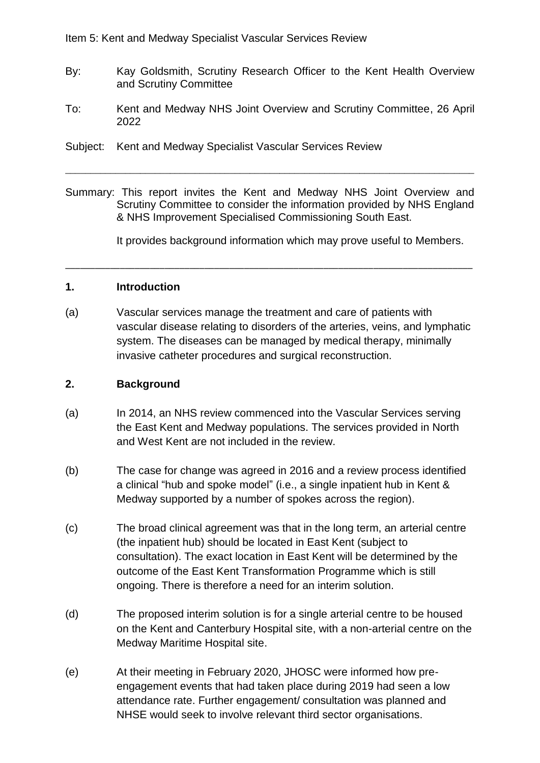Item 5: Kent and Medway Specialist Vascular Services Review

- By: Kay Goldsmith, Scrutiny Research Officer to the Kent Health Overview and Scrutiny Committee
- To: Kent and Medway NHS Joint Overview and Scrutiny Committee, 26 April 2022
- Subject: Kent and Medway Specialist Vascular Services Review
- Summary: This report invites the Kent and Medway NHS Joint Overview and Scrutiny Committee to consider the information provided by NHS England & NHS Improvement Specialised Commissioning South East.

\_\_\_\_\_\_\_\_\_\_\_\_\_\_\_\_\_\_\_\_\_\_\_\_\_\_\_\_\_\_\_\_\_\_\_\_\_\_\_\_\_\_\_\_\_\_\_\_\_\_\_\_\_\_\_\_\_\_\_\_\_\_\_\_\_\_\_\_\_\_\_\_\_\_\_\_\_\_\_\_\_\_

It provides background information which may prove useful to Members.

### **1. Introduction**

(a) Vascular services manage the treatment and care of patients with vascular disease relating to disorders of the arteries, veins, and lymphatic system. The diseases can be managed by medical therapy, minimally invasive catheter procedures and surgical reconstruction.

\_\_\_\_\_\_\_\_\_\_\_\_\_\_\_\_\_\_\_\_\_\_\_\_\_\_\_\_\_\_\_\_\_\_\_\_\_\_\_\_\_\_\_\_\_\_\_\_\_\_\_\_\_\_\_\_\_\_\_\_\_\_\_\_\_\_\_\_\_\_\_\_\_\_\_\_\_\_\_\_\_\_

### **2. Background**

- (a) In 2014, an NHS review commenced into the Vascular Services serving the East Kent and Medway populations. The services provided in North and West Kent are not included in the review.
- (b) The case for change was agreed in 2016 and a review process identified a clinical "hub and spoke model" (i.e., a single inpatient hub in Kent & Medway supported by a number of spokes across the region).
- (c) The broad clinical agreement was that in the long term, an arterial centre (the inpatient hub) should be located in East Kent (subject to consultation). The exact location in East Kent will be determined by the outcome of the East Kent Transformation Programme which is still ongoing. There is therefore a need for an interim solution.
- (d) The proposed interim solution is for a single arterial centre to be housed on the Kent and Canterbury Hospital site, with a non-arterial centre on the Medway Maritime Hospital site.
- (e) At their meeting in February 2020, JHOSC were informed how preengagement events that had taken place during 2019 had seen a low attendance rate. Further engagement/ consultation was planned and NHSE would seek to involve relevant third sector organisations.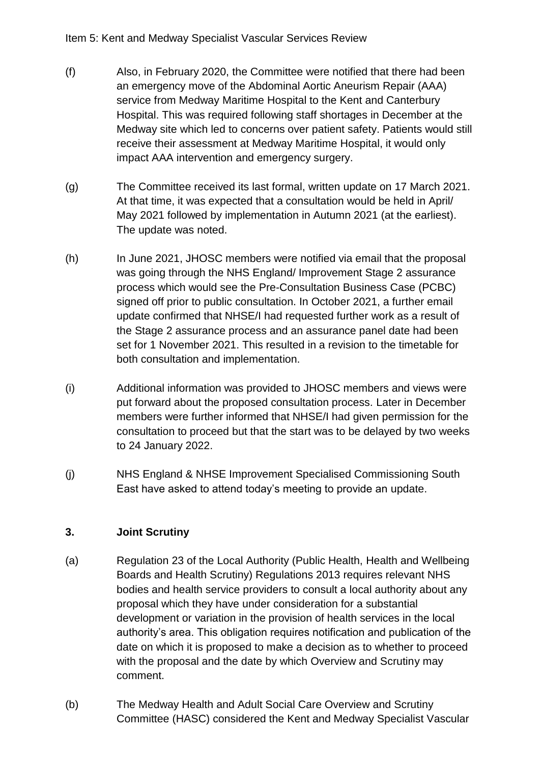- (f) Also, in February 2020, the Committee were notified that there had been an emergency move of the Abdominal Aortic Aneurism Repair (AAA) service from Medway Maritime Hospital to the Kent and Canterbury Hospital. This was required following staff shortages in December at the Medway site which led to concerns over patient safety. Patients would still receive their assessment at Medway Maritime Hospital, it would only impact AAA intervention and emergency surgery.
- (g) The Committee received its last formal, written update on 17 March 2021. At that time, it was expected that a consultation would be held in April/ May 2021 followed by implementation in Autumn 2021 (at the earliest). The update was noted.
- (h) In June 2021, JHOSC members were notified via email that the proposal was going through the NHS England/ Improvement Stage 2 assurance process which would see the Pre-Consultation Business Case (PCBC) signed off prior to public consultation. In October 2021, a further email update confirmed that NHSE/I had requested further work as a result of the Stage 2 assurance process and an assurance panel date had been set for 1 November 2021. This resulted in a revision to the timetable for both consultation and implementation.
- (i) Additional information was provided to JHOSC members and views were put forward about the proposed consultation process. Later in December members were further informed that NHSE/I had given permission for the consultation to proceed but that the start was to be delayed by two weeks to 24 January 2022.
- (j) NHS England & NHSE Improvement Specialised Commissioning South East have asked to attend today's meeting to provide an update.

# **3. Joint Scrutiny**

- (a) Regulation 23 of the Local Authority (Public Health, Health and Wellbeing Boards and Health Scrutiny) Regulations 2013 requires relevant NHS bodies and health service providers to consult a local authority about any proposal which they have under consideration for a substantial development or variation in the provision of health services in the local authority's area. This obligation requires notification and publication of the date on which it is proposed to make a decision as to whether to proceed with the proposal and the date by which Overview and Scrutiny may comment.
- (b) The Medway Health and Adult Social Care Overview and Scrutiny Committee (HASC) considered the Kent and Medway Specialist Vascular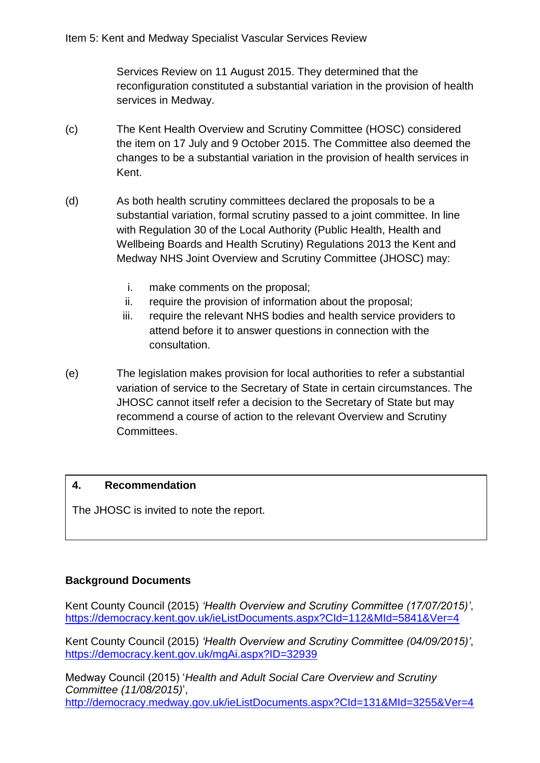Services Review on 11 August 2015. They determined that the reconfiguration constituted a substantial variation in the provision of health services in Medway.

- (c) The Kent Health Overview and Scrutiny Committee (HOSC) considered the item on 17 July and 9 October 2015. The Committee also deemed the changes to be a substantial variation in the provision of health services in Kent.
- (d) As both health scrutiny committees declared the proposals to be a substantial variation, formal scrutiny passed to a joint committee. In line with Regulation 30 of the Local Authority (Public Health, Health and Wellbeing Boards and Health Scrutiny) Regulations 2013 the Kent and Medway NHS Joint Overview and Scrutiny Committee (JHOSC) may:
	- i. make comments on the proposal;
	- ii. require the provision of information about the proposal;
	- iii. require the relevant NHS bodies and health service providers to attend before it to answer questions in connection with the consultation.
- (e) The legislation makes provision for local authorities to refer a substantial variation of service to the Secretary of State in certain circumstances. The JHOSC cannot itself refer a decision to the Secretary of State but may recommend a course of action to the relevant Overview and Scrutiny Committees.

## **4. Recommendation**

The JHOSC is invited to note the report.

## **Background Documents**

Kent County Council (2015) *'Health Overview and Scrutiny Committee (17/07/2015)'*, <https://democracy.kent.gov.uk/ieListDocuments.aspx?CId=112&MId=5841&Ver=4>

Kent County Council (2015) *'Health Overview and Scrutiny Committee (04/09/2015)'*, <https://democracy.kent.gov.uk/mgAi.aspx?ID=32939>

Medway Council (2015) '*Health and Adult Social Care Overview and Scrutiny Committee (11/08/2015)*', <http://democracy.medway.gov.uk/ieListDocuments.aspx?CId=131&MId=3255&Ver=4>